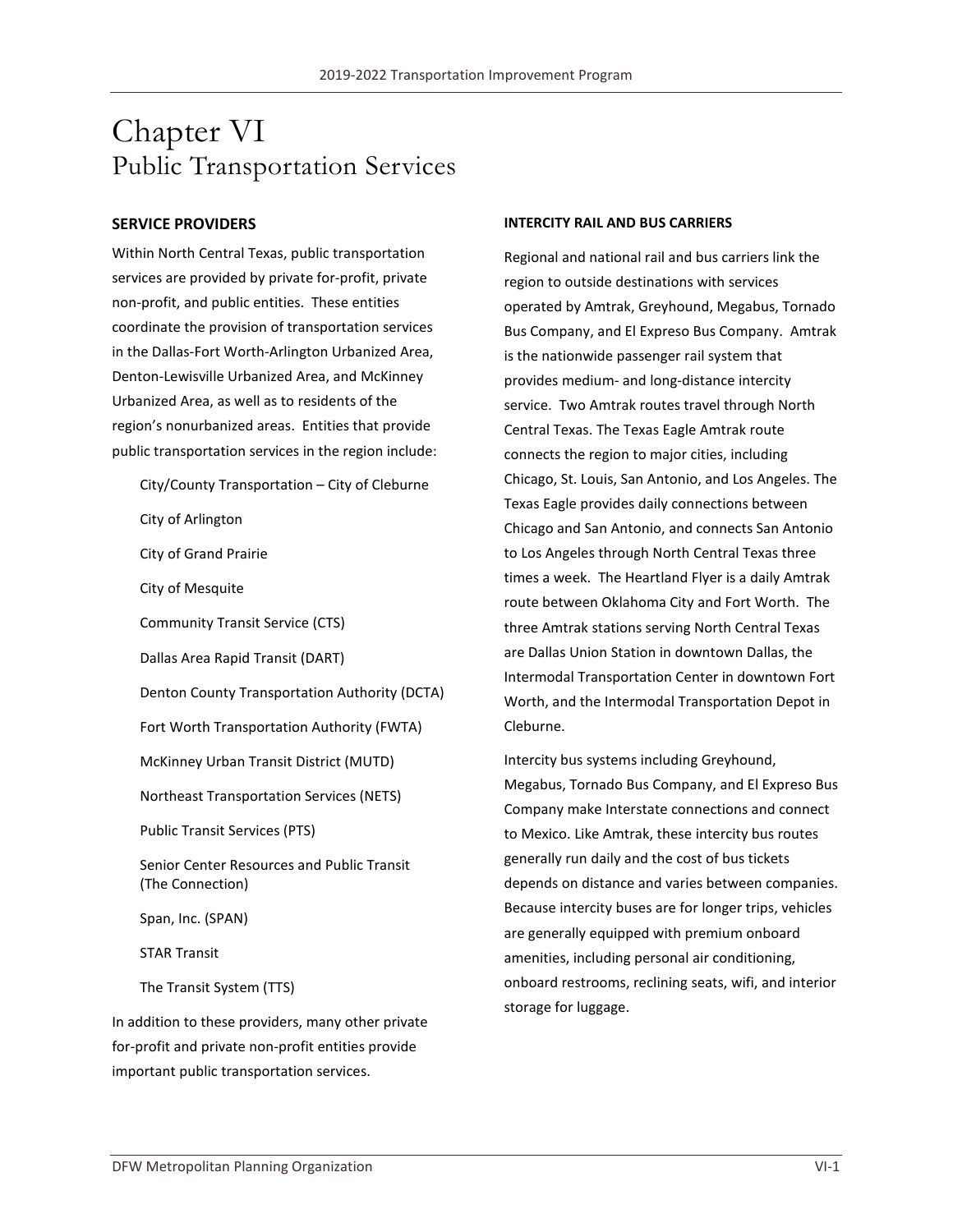# Chapter VI Public Transportation Services

#### **SERVICE PROVIDERS**

Within North Central Texas, public transportation services are provided by private for-profit, private non-profit, and public entities. These entities coordinate the provision of transportation services in the Dallas-Fort Worth-Arlington Urbanized Area, Denton-Lewisville Urbanized Area, and McKinney Urbanized Area, as well as to residents of the region's nonurbanized areas. Entities that provide public transportation services in the region include:

City/County Transportation – City of Cleburne City of Arlington City of Grand Prairie City of Mesquite Community Transit Service (CTS) Dallas Area Rapid Transit (DART) Denton County Transportation Authority (DCTA) Fort Worth Transportation Authority (FWTA) McKinney Urban Transit District (MUTD) Northeast Transportation Services (NETS) Public Transit Services (PTS) Senior Center Resources and Public Transit (The Connection) Span, Inc. (SPAN) STAR Transit The Transit System (TTS)

In addition to these providers, many other private for-profit and private non-profit entities provide important public transportation services.

#### **INTERCITY RAIL AND BUS CARRIERS**

Regional and national rail and bus carriers link the region to outside destinations with services operated by Amtrak, Greyhound, Megabus, Tornado Bus Company, and El Expreso Bus Company. Amtrak is the nationwide passenger rail system that provides medium- and long-distance intercity service. Two Amtrak routes travel through North Central Texas. The Texas Eagle Amtrak route connects the region to major cities, including Chicago, St. Louis, San Antonio, and Los Angeles. The Texas Eagle provides daily connections between Chicago and San Antonio, and connects San Antonio to Los Angeles through North Central Texas three times a week. The Heartland Flyer is a daily Amtrak route between Oklahoma City and Fort Worth. The three Amtrak stations serving North Central Texas are Dallas Union Station in downtown Dallas, the Intermodal Transportation Center in downtown Fort Worth, and the Intermodal Transportation Depot in Cleburne.

Intercity bus systems including Greyhound, Megabus, Tornado Bus Company, and El Expreso Bus Company make Interstate connections and connect to Mexico. Like Amtrak, these intercity bus routes generally run daily and the cost of bus tickets depends on distance and varies between companies. Because intercity buses are for longer trips, vehicles are generally equipped with premium onboard amenities, including personal air conditioning, onboard restrooms, reclining seats, wifi, and interior storage for luggage.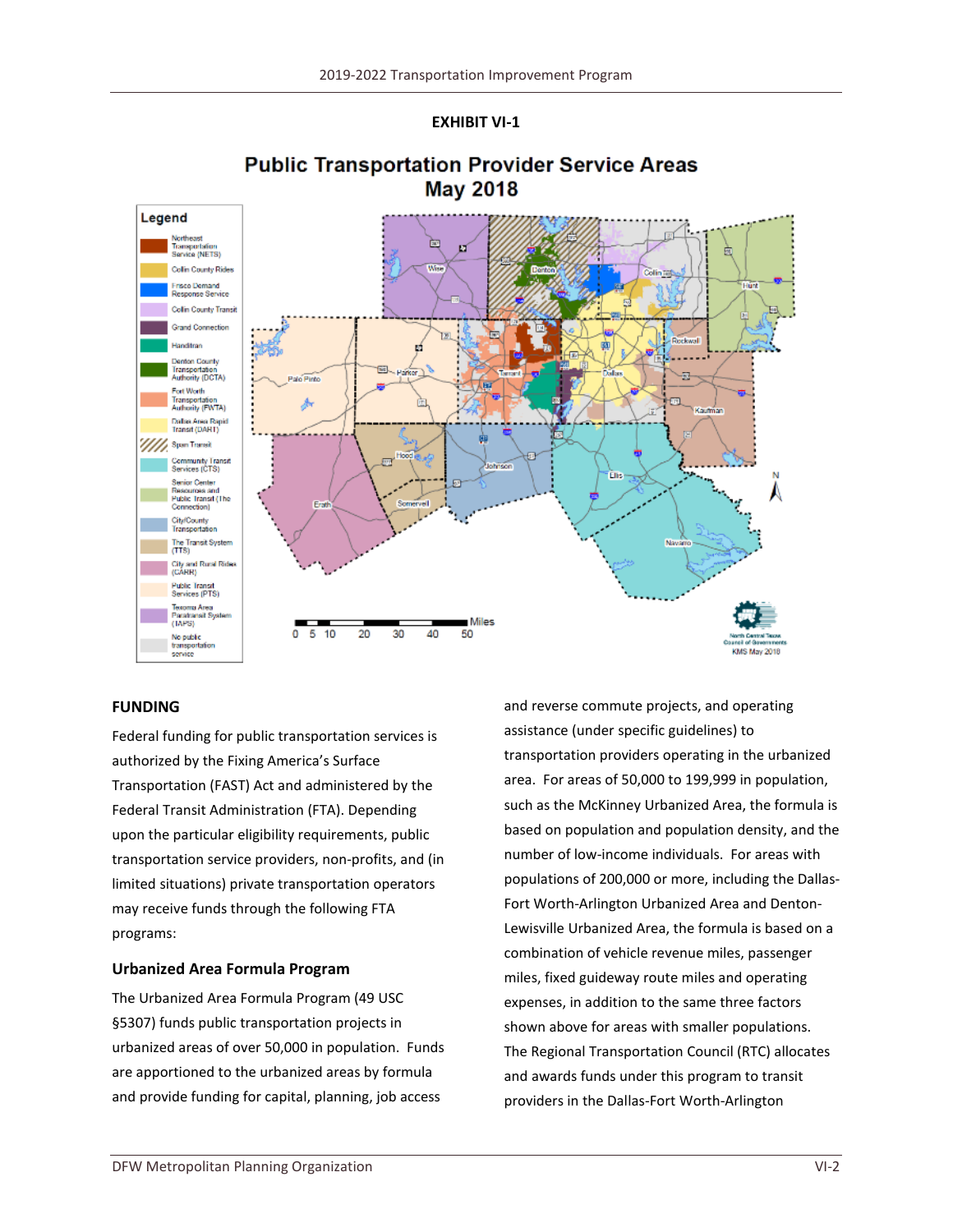**EXHIBIT VI-1**



# **Public Transportation Provider Service Areas May 2018**

# **FUNDING**

Federal funding for public transportation services is authorized by the Fixing America's Surface Transportation (FAST) Act and administered by the Federal Transit Administration (FTA). Depending upon the particular eligibility requirements, public transportation service providers, non-profits, and (in limited situations) private transportation operators may receive funds through the following FTA programs:

# **Urbanized Area Formula Program**

The Urbanized Area Formula Program (49 USC §5307) funds public transportation projects in urbanized areas of over 50,000 in population. Funds are apportioned to the urbanized areas by formula and provide funding for capital, planning, job access

and reverse commute projects, and operating assistance (under specific guidelines) to transportation providers operating in the urbanized area. For areas of 50,000 to 199,999 in population, such as the McKinney Urbanized Area, the formula is based on population and population density, and the number of low-income individuals. For areas with populations of 200,000 or more, including the Dallas-Fort Worth-Arlington Urbanized Area and Denton-Lewisville Urbanized Area, the formula is based on a combination of vehicle revenue miles, passenger miles, fixed guideway route miles and operating expenses, in addition to the same three factors shown above for areas with smaller populations. The Regional Transportation Council (RTC) allocates and awards funds under this program to transit providers in the Dallas-Fort Worth-Arlington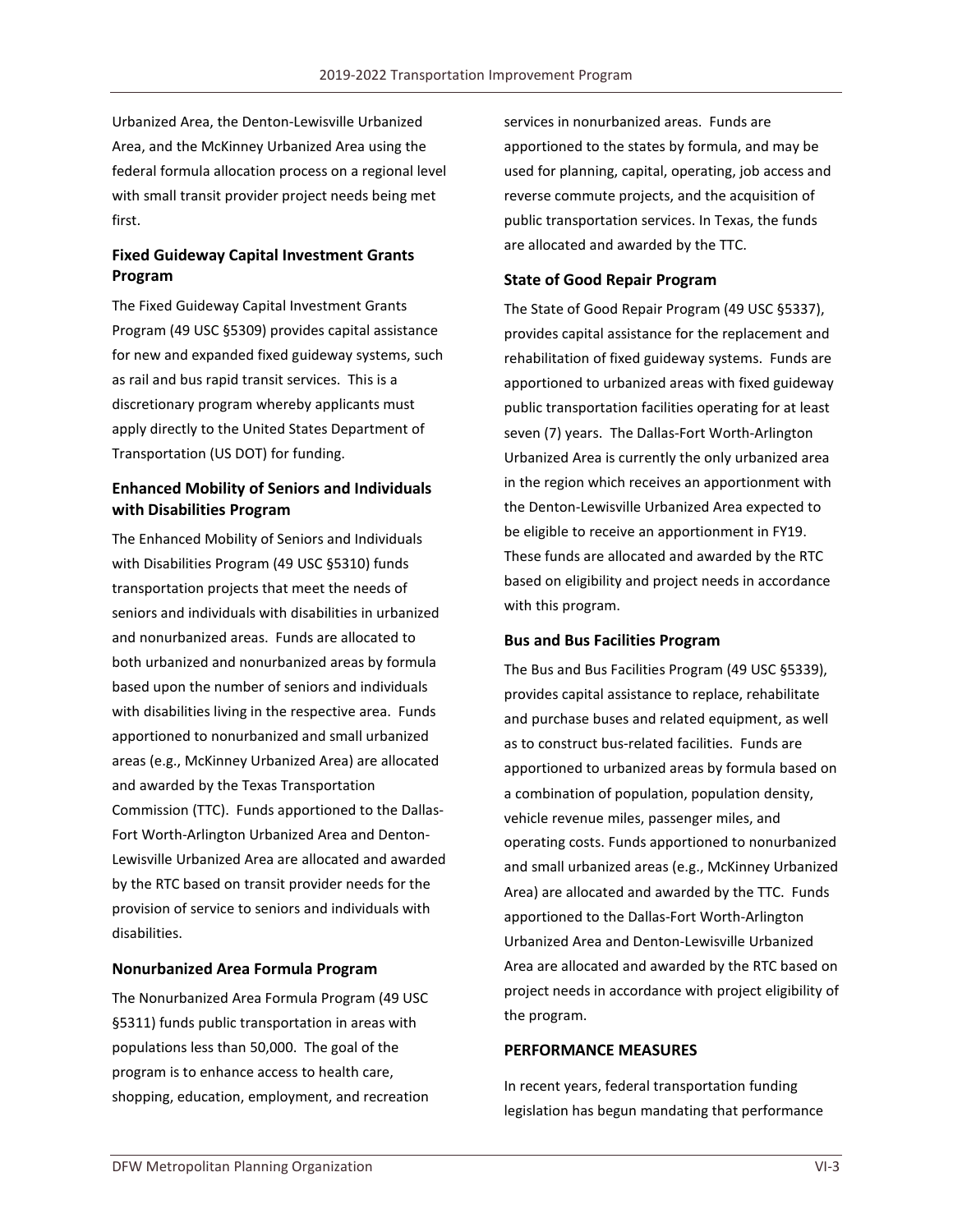Urbanized Area, the Denton-Lewisville Urbanized Area, and the McKinney Urbanized Area using the federal formula allocation process on a regional level with small transit provider project needs being met first.

# **Fixed Guideway Capital Investment Grants Program**

The Fixed Guideway Capital Investment Grants Program (49 USC §5309) provides capital assistance for new and expanded fixed guideway systems, such as rail and bus rapid transit services. This is a discretionary program whereby applicants must apply directly to the United States Department of Transportation (US DOT) for funding.

# **Enhanced Mobility of Seniors and Individuals with Disabilities Program**

The Enhanced Mobility of Seniors and Individuals with Disabilities Program (49 USC §5310) funds transportation projects that meet the needs of seniors and individuals with disabilities in urbanized and nonurbanized areas. Funds are allocated to both urbanized and nonurbanized areas by formula based upon the number of seniors and individuals with disabilities living in the respective area. Funds apportioned to nonurbanized and small urbanized areas (e.g., McKinney Urbanized Area) are allocated and awarded by the Texas Transportation Commission (TTC). Funds apportioned to the Dallas-Fort Worth-Arlington Urbanized Area and Denton-Lewisville Urbanized Area are allocated and awarded by the RTC based on transit provider needs for the provision of service to seniors and individuals with disabilities.

#### **Nonurbanized Area Formula Program**

The Nonurbanized Area Formula Program (49 USC §5311) funds public transportation in areas with populations less than 50,000. The goal of the program is to enhance access to health care, shopping, education, employment, and recreation services in nonurbanized areas. Funds are apportioned to the states by formula, and may be used for planning, capital, operating, job access and reverse commute projects, and the acquisition of public transportation services. In Texas, the funds are allocated and awarded by the TTC.

### **State of Good Repair Program**

The State of Good Repair Program (49 USC §5337), provides capital assistance for the replacement and rehabilitation of fixed guideway systems. Funds are apportioned to urbanized areas with fixed guideway public transportation facilities operating for at least seven (7) years. The Dallas-Fort Worth-Arlington Urbanized Area is currently the only urbanized area in the region which receives an apportionment with the Denton-Lewisville Urbanized Area expected to be eligible to receive an apportionment in FY19. These funds are allocated and awarded by the RTC based on eligibility and project needs in accordance with this program.

# **Bus and Bus Facilities Program**

The Bus and Bus Facilities Program (49 USC §5339), provides capital assistance to replace, rehabilitate and purchase buses and related equipment, as well as to construct bus-related facilities. Funds are apportioned to urbanized areas by formula based on a combination of population, population density, vehicle revenue miles, passenger miles, and operating costs. Funds apportioned to nonurbanized and small urbanized areas (e.g., McKinney Urbanized Area) are allocated and awarded by the TTC. Funds apportioned to the Dallas-Fort Worth-Arlington Urbanized Area and Denton-Lewisville Urbanized Area are allocated and awarded by the RTC based on project needs in accordance with project eligibility of the program.

#### **PERFORMANCE MEASURES**

In recent years, federal transportation funding legislation has begun mandating that performance